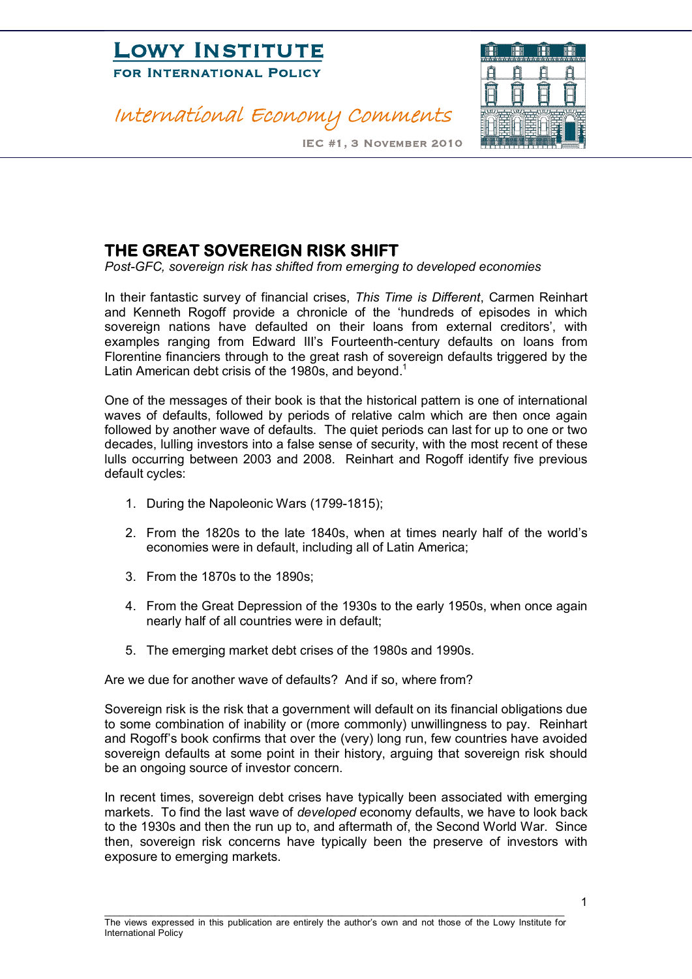

#### International Economy Comments



IEC #1, 3 November 2010

#### **THE GREAT SOVEREIGN RISK SHIFT**

*PostGFC, sovereign risk has shifted from emerging to developed economies*

In their fantastic survey of financial crises, *This Time is Different*, Carmen Reinhart and Kenneth Rogoff provide a chronicle of the 'hundreds of episodes in which sovereign nations have defaulted on their loans from external creditors', with examples ranging from Edward III's Fourteenth-century defaults on loans from Florentine financiers through to the great rash of sovereign defaults triggered by the Latin American debt crisis of the 1980s, and beyond.<sup>1</sup>

One of the messages of their book is that the historical pattern is one of international waves of defaults, followed by periods of relative calm which are then once again followed by another wave of defaults. The quiet periods can last for up to one or two decades, lulling investors into a false sense of security, with the most recent of these lulls occurring between 2003 and 2008. Reinhart and Rogoff identify five previous default cycles:

- 1. During the Napoleonic Wars (1799-1815);
- 2. From the 1820s to the late 1840s, when at times nearly half of the world's economies were in default, including all of Latin America;
- 3. From the 1870s to the 1890s;
- 4. From the Great Depression of the 1930s to the early 1950s, when once again nearly half of all countries were in default;
- 5. The emerging market debt crises of the 1980s and 1990s.

Are we due for another wave of defaults? And if so, where from?

Sovereign risk is the risk that a government will default on its financial obligations due to some combination of inability or (more commonly) unwillingness to pay. Reinhart and Rogoff's book confirms that over the (very) long run, few countries have avoided sovereign defaults at some point in their history, arguing that sovereign risk should be an ongoing source of investor concern.

In recent times, sovereign debt crises have typically been associated with emerging markets. To find the last wave of *developed* economy defaults, we have to look back to the 1930s and then the run up to, and aftermath of, the Second World War. Since then, sovereign risk concerns have typically been the preserve of investors with exposure to emerging markets.

1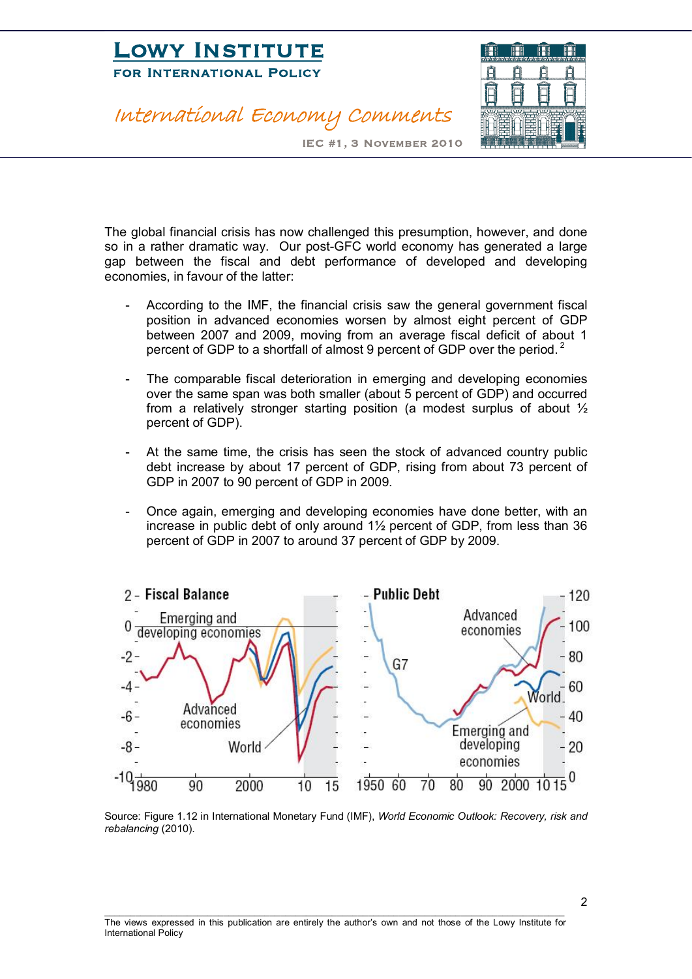## **LOWI INSTITUTE**<br>FOR INTERNATIONAL POLICY FOR INTERNATIONAL POLICE

#### International Economy Comments



IEC #1, 3 November 2010

The global financial crisis has now challenged this presumption, however, and done so in a rather dramatic way. Our post-GFC world economy has generated a large gap between the fiscal and debt performance of developed and developing economies, in favour of the latter:

- According to the IMF, the financial crisis saw the general government fiscal position in advanced economies worsen by almost eight percent of GDP between 2007 and 2009, moving from an average fiscal deficit of about 1 percent of GDP to a shortfall of almost 9 percent of GDP over the period.<sup>2</sup>
- The comparable fiscal deterioration in emerging and developing economies over the same span was both smaller (about 5 percent of GDP) and occurred from a relatively stronger starting position (a modest surplus of about  $\frac{1}{2}$ percent of GDP).
- At the same time, the crisis has seen the stock of advanced country public debt increase by about 17 percent of GDP, rising from about 73 percent of GDP in 2007 to 90 percent of GDP in 2009.
- Once again, emerging and developing economies have done better, with an increase in public debt of only around 1½ percent of GDP, from less than 36 percent of GDP in 2007 to around 37 percent of GDP by 2009.



Source: Figure 1.12 in International Monetary Fund (IMF), *World Economic Outlook: Recovery, risk and rebalancing* (2010).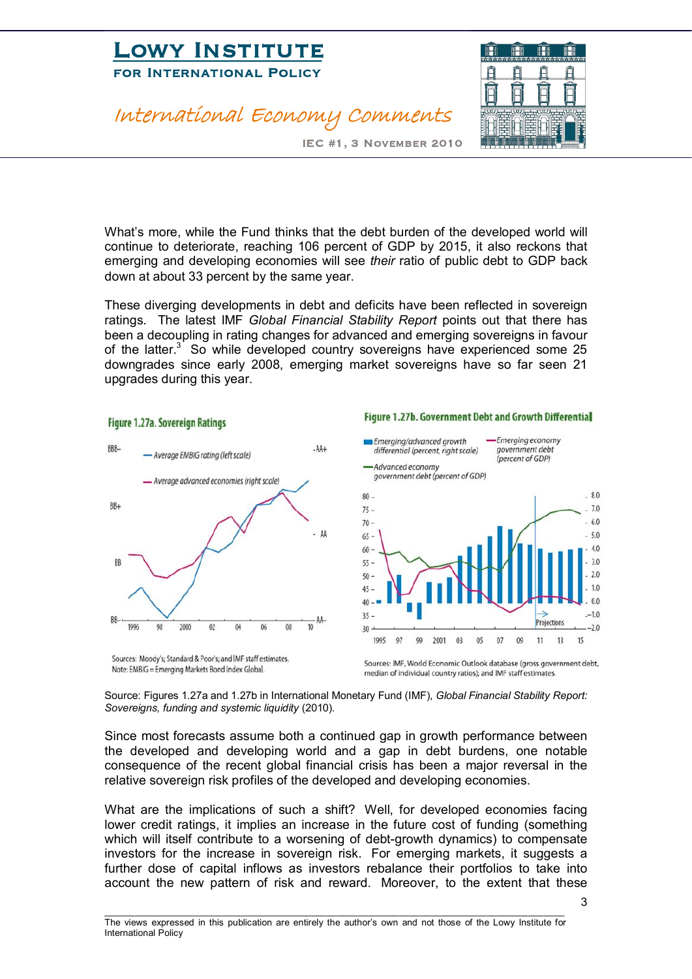## **LOWI INSTITUTE**<br>FOR INTERNATIONAL POLICY FOR INTERNATIONAL POLICE

#### International Economy Comments



Figure 1.27b. Government Debt and Growth Differential

IEC #1, 3 November 2010

What's more, while the Fund thinks that the debt burden of the developed world will continue to deteriorate, reaching 106 percent of GDP by 2015, it also reckons that emerging and developing economies will see *their* ratio of public debt to GDP back down at about 33 percent by the same year.

These diverging developments in debt and deficits have been reflected in sovereign ratings. The latest IMF *Global Financial Stability Report* points out that there has been a decoupling in rating changes for advanced and emerging sovereigns in favour of the latter. $3$  So while developed country sovereigns have experienced some 25 downgrades since early 2008, emerging market sovereigns have so far seen 21 upgrades during this year.



Figure 1.27a. Sovereign Ratings

# Source: Figures 1.27a and 1.27b in International Monetary Fund (IMF), *Global Financial Stability Report:*

*Sovereigns, funding and systemic liquidity* (2010).

Since most forecasts assume both a continued gap in growth performance between the developed and developing world and a gap in debt burdens, one notable consequence of the recent global financial crisis has been a major reversal in the relative sovereign risk profiles of the developed and developing economies.

What are the implications of such a shift? Well, for developed economies facing lower credit ratings, it implies an increase in the future cost of funding (something which will itself contribute to a worsening of debt-growth dynamics) to compensate investors for the increase in sovereign risk. For emerging markets, it suggests a further dose of capital inflows as investors rebalance their portfolios to take into account the new pattern of risk and reward. Moreover, to the extent that these

\_\_\_\_\_\_\_\_\_\_\_\_\_\_\_\_\_\_\_\_\_\_\_\_\_\_\_\_\_\_\_\_\_\_\_\_\_\_\_\_\_\_\_\_\_\_\_\_\_\_\_\_\_\_\_\_\_\_\_\_\_\_\_\_\_\_\_\_\_\_\_\_\_\_\_\_\_\_\_\_\_\_\_\_\_\_\_\_\_ The views expressed in this publication are entirely the author's own and not those of the Lowy Institute for International Policy